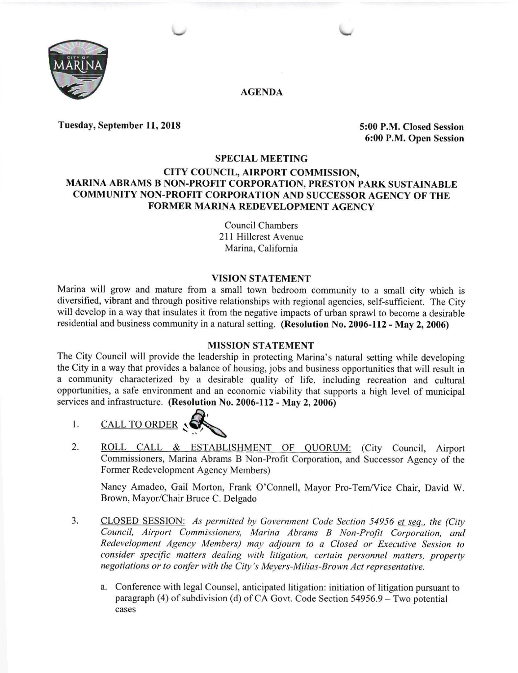

AGENDA

Tuesday, September 11, 2018 5:00 P.M. Closed Session

6:00 P.M. Open Session

### SPECIAL MEETING

## CITY COUNCIL, AIRPORT COMMISSION, MARINA ABRAMS B NON-PROFIT CORPORATION, PRESTON PARK SUSTAINABLE COMMUNITY NON-PROFIT CORPORATION AND SUCCESSOR AGENCY OF THE FORMER MARINA REDEVELOPMENT AGENCY

CounciI Chambers 211 Hillcrest Avenue Marina, California

## **VISION STATEMENT**

Marina will grow and mature from a small town bedroom community to a small city which is diversified, vibrant and through positive relationships with regional agencies, self-sufficient. The City will develop in a way that insulates it from the negative impacts of urban sprawl to become a desirable residential and business community in a natural setting. (Resolution No. 2006-112 - May 2, 2006)

## MISSION STATEMENT

The City Council will provide the leadership in protecting Marina's natural setting while developing the City in a way that provides a balance of housing, jobs and business opportunities that will result in a community characterized by a desirable quality of life, including recreation and cultural opportunities, a safe environment and an economic viability that supports a high level of municipal services and infrastructure. (Resolution No. 2006-112 - May 2, 2006)

- 1. CALL TO ORDER N
- 2. ROLL CALL & ESTABLISHMENT OF QUORUM: (City Council, Airport Commissioners, Marina Abrams B Non-Profit Corporation, and Successor Agency of the Former Redevelopment Agency Members)

Nancy Amadeo, Gail Morton, Frank O'Connell, Mayor Pro-Tem/Vice Chair, David W. Brown, Mayor/Chair Bruce C. Delgado

- CLOSED SESSION: As permitted by Government Code Section 54956 et seq.. the (City Council, Airport Commissioners, Marina Abrams B Non-Profit Corporation, and Redevelopment Agency Members) may adjourn to a Closed or Executive Session to consider specific matters dealing with litigation, certain personnel matters, property negotiations or to confer with the City's Meyers-Milias-Brown Act representative. t.
	- a. Conference with legal Counsel, anticipated litigation: initiation of litigation pursuant to paragraph (4) of subdivision (d) of CA Govt. Code Section  $54956.9 - Two potential$ cases